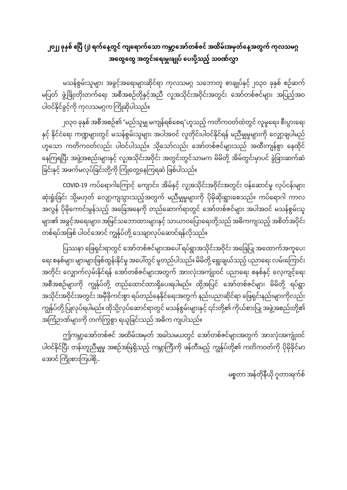## ၂၀၂၂ ခုနှစ် ဧပြီ (၂) ရက်နေ့တွင် ကျရောက်သော ကမ္ဘာ့အော်တစ်ဇင် အထိမ်းအမှတ်နေ့အတွက် ကုလသမဂ္ဂ အထွေထွေ အတွင်းရေးမှူးချုပ် ပေးပို့သည့် သဝဏ်လွှာ

မသန်စွမ်းသူများ အခွင့်အရေးများဆိုင်ရာ ကုလသမဂ္ဂ သဘောတူ စာချုပ်နှင့် ၂၀၃၀ ခုနှစ် စဉ်ဆက် မပြတ် ဖွံ့ဖြိုးတိုးတက်ရေး အစီအစဉ်တို့နှင့်အညီ လူ့အသိုင်းအဝိုင်းအတွင်း အော်တစ်ဇင်များ အပြည့်အဝ ပါဝင်နိုင်ခွင့်ကို ကုလသမဂ္ဂက ကြိုဆိုပါသည်။

၂၀၃၀ ခုနှစ် အစီအစဉ်၏ "မည်သူမျှ မကျန်ရစ်စေရ"ဟူသည့် ကတိကဝတ်ထဲတွင် လူမှုရေး၊ စီးပွားရေး နှင့် နိုင်ငံရေး ကဏ္ဍများတွင် မသန်စွမ်းသူများ အပါအဝင် လူတိုင်းပါဝင်နိုင်ရန် မညီမျှမှုများကို လျှော့ချပါမည် ဟူသော ကတိကဝတ်လည်း ပါဝင်ပါသည်။ သို့သော်လည်း အော်တစ်ဇင်များသည် အထီးကျန်စွာ နေထိုင် နေကြရပြီး အဖွဲ့အစည်းများနှင့် လူ့အသိုင်းအဝိုင်း အတွင်းတွင်သာမက မိမိတို့ အိမ်တွင်းမှာပင် ခွဲခြားဆက်ဆံ ခြင်းနှင့် အဖက်မလုပ်ခြင်းတို့ကို ကြုံတွေ့နေကြရဆဲ ဖြစ်ပါသည်။

COVID-19 ကပ်ရောဂါကြောင့် ကျောင်း၊ အိမ်နှင့် လူ့အသိုင်းအဝိုင်းအတွင်း ဝန်ဆောင်မှု လုပ်ငန်းများ ဆုံးရှုံးခြင်း သို့မဟုတ် လျော့ကျသွားသည့်အတွက် မညီမှုမှုများကို ပိုမိုဆိုးရွားစေသည်။ ကပ်ရောဂါ ကာလ အလွန် ပိုမိုကောင်းမွန်သည့် အခြေအနေကို တည်ဆောက်ရာတွင် အော်တစ်ဇင်များ အပါအဝင် မသန်စွမ်းသူ များ၏ အခွင့်အရေးများ၊ အမြင်သဘောထားများနှင့် သာယာဝပြောရေးတို့သည် အဓိကကျသည့် အစိတ်အပိုင်း တစ်ရပ်အဖြစ် ပါဝင်အောင် ကျွန်ုပ်တို့ သေချာလုပ်ဆောင်ရန်လိုသည်။

ပြဿနာ ဖြေရှင်းရာတွင် အော်တစ်ဇင်များအပေါ် ရပ်ရွာအသိုင်းအဝိုင်း အခြေပြု အထောက်အကူပေး ရေး စနစ်များ များများဖြစ်ထွန်းနိုင်မှု အပေါ်တွင် မူတည်ပါသည်။ မိမိတို့ ရွေးချယ်သည့် ပညာရေး လမ်းကြောင်း အတိုင်း လျှောက်လှမ်းနိုင်ရန် အော်တစ်ဇင်များအတွက် အားလုံးအကျိုးဝင် ပညာရေး စနစ်နှင့် လေ့ကျင့်ရေး အစီအစဉ်များကို ကျွန်ုပ်တို့ တည်ထောင်ထားရှိပေးရပါမည်။ ထို့အပြင် အော်တစ်ဇင်များ မိမိတို့ ရပ်ရွာ အသိုင်းအဝိုင်းအတွင်း အမှီခိုကင်းစွာ ရပ်တည်နေနိုင်ရေးအတွက် နည်းပညာဆိုင်ရာ ဖြေရှင်းနည်းများကိုလည်း ကျွန်ုပ်တို့ ပြုလုပ်ရပါမည်။ ထိုသို့လုပ်ဆောင်ရာတွင် မသန်စွမ်းများနှင့် ၎င်းတို့၏ ကိုယ်စားပြု အဖွဲ့အစည်းတို့၏ အကြံဉာဏ်များကို တက်ကြွစွာ ရယူခြင်းသည် အဓိက ကျပါသည်။

ဤကမ္ဘာ့အော်တစ်ဇင် အထိမ်းအမှတ် အခါသမယတွင် အော်တစ်ဇင်များအတွက် အားလုံးအကျိုးဝင် ပါဝင်နိုင်ပြီး တန်းတူညီမှုမှု အစဉ်အမြဲရှိသည့် ကမ္ဘာကြီးကို ဖန်တီးမည့် ကျွန်ုပ်တို့၏ ကတိကဝတ်ကို ပိုမိုခိုင်မာ အောင် ကြိုးစားကြပါစို့...

မစ္စတာ အန်တိုနီယို ဂူတားရက်စ်